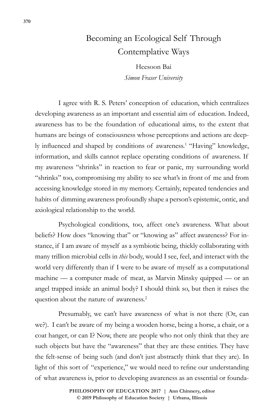## Becoming an Ecological Self Through Contemplative Ways

Heesoon Bai *Simon Fraser University*

I agree with R. S. Peters' conception of education, which centralizes developing awareness as an important and essential aim of education. Indeed, awareness has to be the foundation of educational aims, to the extent that humans are beings of consciousness whose perceptions and actions are deeply influenced and shaped by conditions of awareness.<sup>1</sup> "Having" knowledge, information, and skills cannot replace operating conditions of awareness. If my awareness "shrinks" in reaction to fear or panic, my surrounding world "shrinks" too, compromising my ability to see what's in front of me and from accessing knowledge stored in my memory. Certainly, repeated tendencies and habits of dimming awareness profoundly shape a person's epistemic, ontic, and axiological relationship to the world.

Psychological conditions, too, affect one's awareness. What about beliefs? How does "knowing that" or "knowing as" affect awareness? For instance, if I am aware of myself as a symbiotic being, thickly collaborating with many trillion microbial cells in *this* body, would I see, feel, and interact with the world very differently than if I were to be aware of myself as a computational machine — a computer made of meat, as Marvin Minsky quipped — or an angel trapped inside an animal body? I should think so, but then it raises the question about the nature of awareness.<sup>2</sup>

Presumably, we can't have awareness of what is not there (Or, can we?). I can't be aware of my being a wooden horse, being a horse, a chair, or a coat hanger, or can I? Now, there are people who not only think that they are such objects but have the "awareness" that they are these entities. They have the felt-sense of being such (and don't just abstractly think that they are). In light of this sort of "experience," we would need to refine our understanding of what awareness is, prior to developing awareness as an essential or founda-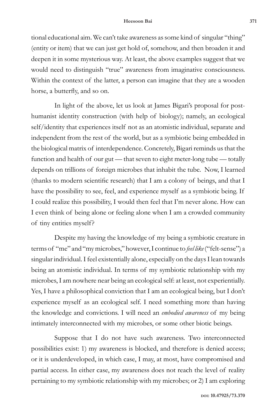tional educational aim. We can't take awareness as some kind of singular "thing" (entity or item) that we can just get hold of, somehow, and then broaden it and deepen it in some mysterious way. At least, the above examples suggest that we would need to distinguish "true" awareness from imaginative consciousness. Within the context of the latter, a person can imagine that they are a wooden horse, a butterfly, and so on.

In light of the above, let us look at James Bigari's proposal for posthumanist identity construction (with help of biology); namely, an ecological self/identity that experiences itself not as an atomistic individual, separate and independent from the rest of the world, but as a symbiotic being embedded in the biological matrix of interdependence. Concretely, Bigari reminds us that the function and health of our gut — that seven to eight meter-long tube — totally depends on trillions of foreign microbes that inhabit the tube. Now, I learned (thanks to modern scientific research) that I am a colony of beings, and that I have the possibility to see, feel, and experience myself as a symbiotic being. If I could realize this possibility, I would then feel that I'm never alone. How can I even think of being alone or feeling alone when I am a crowded community of tiny entities myself?

Despite my having the knowledge of my being a symbiotic creature in terms of "me" and "my microbes," however, I continue to *feel like* ("felt-sense") a singular individual. I feel existentially alone, especially on the days I lean towards being an atomistic individual. In terms of my symbiotic relationship with my microbes, I am nowhere near being an ecological self: at least, not experientially. Yes, I have a philosophical conviction that I am an ecological being, but I don't experience myself as an ecological self. I need something more than having the knowledge and convictions. I will need an *embodied awareness* of my being intimately interconnected with my microbes, or some other biotic beings.

Suppose that I do not have such awareness. Two interconnected possibilities exist: 1) my awareness is blocked, and therefore is denied access; or it is underdeveloped, in which case, I may, at most, have compromised and partial access. In either case, my awareness does not reach the level of reality pertaining to my symbiotic relationship with my microbes; or 2) I am exploring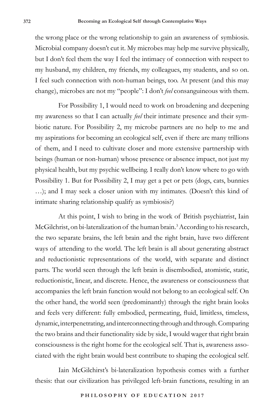the wrong place or the wrong relationship to gain an awareness of symbiosis. Microbial company doesn't cut it. My microbes may help me survive physically, but I don't feel them the way I feel the intimacy of connection with respect to my husband, my children, my friends, my colleagues, my students, and so on. I feel such connection with non-human beings, too. At present (and this may change), microbes are not my "people": I don't *feel* consanguineous with them.

For Possibility 1, I would need to work on broadening and deepening my awareness so that I can actually *feel* their intimate presence and their symbiotic nature. For Possibility 2, my microbe partners are no help to me and my aspirations for becoming an ecological self, even if there are many trillions of them, and I need to cultivate closer and more extensive partnership with beings (human or non-human) whose presence or absence impact, not just my physical health, but my psychic wellbeing. I really don't know where to go with Possibility 1. But for Possibility 2, I may get a pet or pets (dogs, cats, bunnies …); and I may seek a closer union with my intimates. (Doesn't this kind of intimate sharing relationship qualify as symbiosis?)

At this point, I wish to bring in the work of British psychiatrist, Iain McGilchrist, on bi-lateralization of the human brain.<sup>3</sup> According to his research, the two separate brains, the left brain and the right brain, have two different ways of attending to the world. The left brain is all about generating abstract and reductionistic representations of the world, with separate and distinct parts. The world seen through the left brain is disembodied, atomistic, static, reductionistic, linear, and discrete. Hence, the awareness or consciousness that accompanies the left brain function would not belong to an ecological self. On the other hand, the world seen (predominantly) through the right brain looks and feels very different: fully embodied, permeating, fluid, limitless, timeless, dynamic, interpenetrating, and interconnecting through and through. Comparing the two brains and their functionality side by side, I would wager that right brain consciousness is the right home for the ecological self. That is, awareness associated with the right brain would best contribute to shaping the ecological self.

Iain McGilchirst's bi-lateralization hypothesis comes with a further thesis: that our civilization has privileged left-brain functions, resulting in an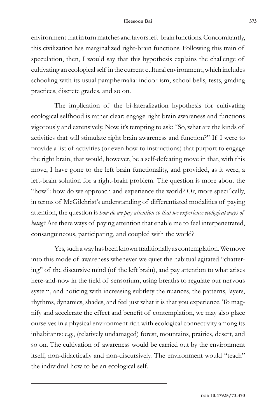## **Heesoon Bai 373**

environment that in turn matches and favors left-brain functions. Concomitantly, this civilization has marginalized right-brain functions. Following this train of speculation, then, I would say that this hypothesis explains the challenge of cultivating an ecological self in the current cultural environment, which includes schooling with its usual paraphernalia: indoor-ism, school bells, tests, grading practices, discrete grades, and so on.

The implication of the bi-lateralization hypothesis for cultivating ecological selfhood is rather clear: engage right brain awareness and functions vigorously and extensively. Now, it's tempting to ask: "So, what are the kinds of activities that will stimulate right brain awareness and function?" If I were to provide a list of activities (or even how-to instructions) that purport to engage the right brain, that would, however, be a self-defeating move in that, with this move, I have gone to the left brain functionality, and provided, as it were, a left-brain solution for a right-brain problem. The question is more about the "how": how do we approach and experience the world? Or, more specifically, in terms of McGilchrist's understanding of differentiated modalities of paying attention, the question is *how do we pay attention so that we experience ecological ways of being?* Are there ways of paying attention that enable me to feel interpenetrated, consanguineous, participating, and coupled with the world?

Yes, such a way has been known traditionally as contemplation. We move into this mode of awareness whenever we quiet the habitual agitated "chattering" of the discursive mind (of the left brain), and pay attention to what arises here-and-now in the field of sensorium, using breaths to regulate our nervous system, and noticing with increasing subtlety the nuances, the patterns, layers, rhythms, dynamics, shades, and feel just what it is that you experience. To magnify and accelerate the effect and benefit of contemplation, we may also place ourselves in a physical environment rich with ecological connectivity among its inhabitants: e.g., (relatively undamaged) forest, mountains, prairies, desert, and so on. The cultivation of awareness would be carried out by the environment itself, non-didactically and non-discursively. The environment would "teach" the individual how to be an ecological self.